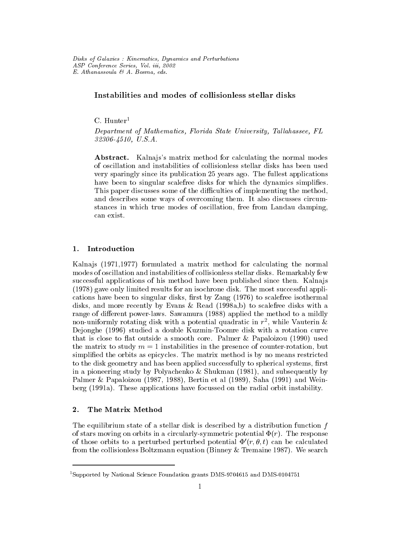# Instabilities and modes of collisionless stellar disks

 $C.$  Hunter<sup>1</sup>

Department of Mathematics, Florida State University, Tallahassee, FL 32306-4510, U.S.A.

Abstract. Kalna is's matrix method for calculating the normal modes of oscillation and instabilities of collisionless stellar disks has been used very sparingly since its publication 25 years ago. The fullest applications have been to singular scalefree disks for which the dynamics simplifies. This paper discusses some of the difficulties of implementing the method, and describes some ways of overcoming them. It also discusses circumstances in which true modes of oscillation, free from Landau damping, can exist.

# 1. Introduction

Kalna js (1971, 1977) formulated a matrix method for calculating the normal modes of oscillation and instabilities of collisionless stellar disks. Remarkably few successful applications of his method have been published since then. Kalna js (1978) gave only limited results for an isochrone disk. The most successful applications have been to singular disks, first by  $\text{Zang}$  (1976) to scalefree isothermal disks, and more recently by Evans & Read (1998a,b) to scalefree disks with a range of different power-laws. Sawamura (1988) applied the method to a mildly non-uniformly rotating disk with a potential quadratic in <sup>r</sup> <sup>2</sup> , while Vauterin & Dejonghe (1996) studied a double Kuzmin-Toomre disk with a rotation curve that is close to flat outside a smooth core. Palmer  $\&$  Papaloizou (1990) used the matrix to study  $m = 1$  instabilities in the presence of counter-rotation, but simplied the orbits as epicycles. The matrix method is by no means restricted to the disk geometry and has been applied successfully to spherical systems, first in a pioneering study by Polyachenko & Shukman (1981), and subsequently by Palmer & Papaloizou (1987, 1988), Bertin et al (1989), Saha (1991) and Weinberg (1991a). These applications have focussed on the radial orbit instability.

## 2. The Matrix Method

The equilibrium state of a stellar disk is described by a distribution function  $f$ of stars moving on orbits in a circularly-symmetric potential  $\Phi(r)$ . The response of those orbits to a perturbed perturbed potential  $\Phi'(r, \theta, t)$  can be calculated from the collisionless Boltzmann equation (Binney & Tremaine 1987). We search

<sup>&</sup>lt;sup>1</sup>Supported by National Science Foundation grants DMS-9704615 and DMS-0104751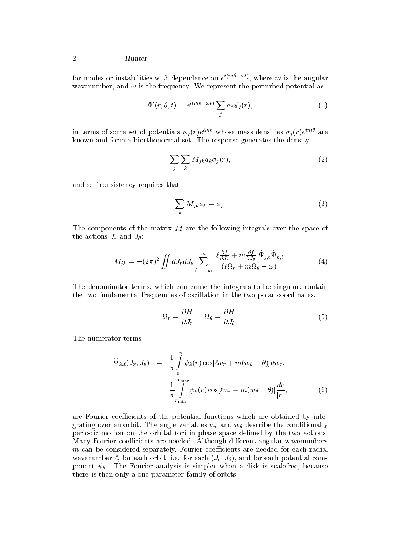#### 2 Hunter

for modes or instabilities with dependence on  $e \leftarrow \{ \ldots, \}$ , where m is the angular wavenumber, and  $\omega$  is the frequency. We represent the perturbed potential as

$$
\Phi'(r,\theta,t) = e^{i(m\theta - \omega t)} \sum_j a_j \psi_j(r),\tag{1}
$$

in terms of some set of potentials  $\psi_i(r)e^{i\pi r}$  whose mass densities  $\sigma_i(r)e^{i\pi r}$  are known a biological set. The response set is response generates the density of the response  $\alpha$ 

$$
\sum_{j} \sum_{k} M_{jk} a_k \sigma_j(r), \tag{2}
$$

and self-consistency requires that

$$
\sum_{k} M_{jk} a_k = a_j. \tag{3}
$$

The components of the matrix <sup>M</sup> are the following integrals over the space of the actions  $J_r$  and  $J_\theta$ :

$$
M_{jk} = -(2\pi)^2 \iint dJ_r dJ_\theta \sum_{\ell=-\infty}^{\infty} \frac{[\ell \frac{\partial f}{\partial J_r} + m \frac{\partial f}{\partial J_\theta}]\hat{\Psi}_{j,\ell}\hat{\Psi}_{k,\ell}}{(\ell\Omega_r + m\Omega_\theta - \omega)}.
$$
(4)

The denominator terms, which can cause the integrals to be singular, contain the two fundamental frequencies of oscillation in the two polar coordinates.

$$
\Omega_r = \frac{\partial H}{\partial J_r}, \quad \Omega_\theta = \frac{\partial H}{\partial J_\theta}.\tag{5}
$$

The numerator terms

$$
\begin{aligned}\n\widehat{\Psi}_{k,\ell}(J_r, J_\theta) &= \frac{1}{\pi} \int_0^\pi \psi_k(r) \cos[\ell w_r + m(w_\theta - \theta)] dw_r, \\
&= \frac{1}{\pi} \int_{r_{\min}}^{r_{\max}} \psi_k(r) \cos[\ell w_r + m(w_\theta - \theta)] \frac{dr}{|\dot{r}|},\n\end{aligned} \tag{6}
$$

are Fourier coefficients of the potential functions which are obtained by integrating over an orbit. The angle variables  $w_r$  and  $w_\theta$  describe the conditionally periodic motion on the orbital tori in phase space dened by the two actions. Many Fourier coefficients are needed. Although different angular wavenumbers  $m$  can be considered separately, Fourier coefficients are needed for each radial wavenumber  $\ell$ , for each orbit, i.e. for each  $(J_r, J_\theta)$ , and for each potential component  $\psi_k$ . The Fourier analysis is simpler when a disk is scalefree, because there is then only a one-parameter family of orbits.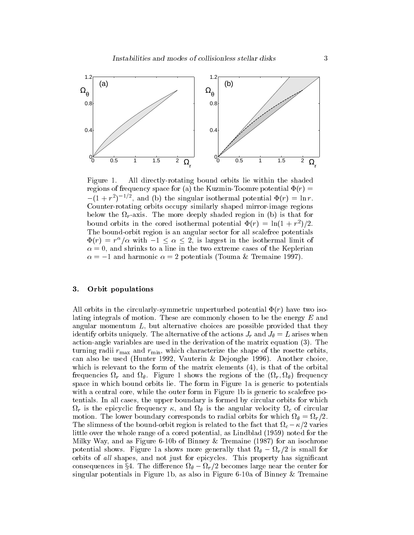

Figure 1. All directly-rotating bound orbits lie within the shaded regions of frequency space for (a) the Kuzmin-Toomre potential  $\Phi(r)$  =  $(-1 + r^{-})$   $\rightarrow$  -, and (b) the singular isothermal potential  $\Psi(r) = \ln r$ . Counter-rotating orbits occupy similarly shaped mirror-image regions  $r \rightarrow 0$ bound orbits in the cored isothermal potential  $\Psi(r) = \ln(1 + r^{-1})/2$ . The bound-orbit region is an angular sector for all scalefree potentials  $\Psi(r) = r^2/\alpha$  with  $-1 \leq \alpha \leq 2$ , is largest in the isothermal limit of  $\alpha = 0$ , and shrinks to a line in the two extreme cases of the Keplerian  $\alpha = -1$  and harmonic  $\alpha = 2$  potentials (Touma & Tremaine 1997).

# 3. Orbit populations

All orbits in the circularly-symmetric unperturbed potential  $\Phi(r)$  have two isolating integrals of motion. These are commonly chosen to be the energy <sup>E</sup> and angular momentum  $L$ , but alternative choices are possible provided that they identify orbits uniquely. The alternative of the actions  $J_r$  and  $J_\theta = L$  arises when action-angle variables are used in the derivation of the matrix equation (3). The turning radii  $r_{\text{max}}$  and  $r_{\text{min}}$ , which characterize the shape of the rosette orbits, can also be used (Hunter 1992, Vauterin & Dejonghe 1996). Another choice, which is relevant to the form of the matrix elements  $(4)$ , is that of the orbital r and frequencies  $\alpha$  from the regions of the figure 1 shows the figure 1 shows the figure 1 shows the figure space in which bound orbits lie. The form in Figure 1a is generic to potentials with a central core, while the outer form in Figure 1b is generic to scalefree potentials. In all cases, the upper boundary is formed by circular orbits for which r is the epicyclic frequency of circular velocity and control control of circular velocity and control control of circular control control control control control control control control control control control control con motion. The lower boundary corresponds to radial or the form of the corresponds  $\mu$  , i.e., The slimal-orbit region is related to the fact that  $\mathbf{c}$  region is related to that fact that fact that  $\mathbf{c}$ little over the whole range of a cored potential, as Lindblad (1959) noted for the Milky Way, and as Figure 6-10b of Binney & Tremaine (1987) for an isochrone potential shows. Figure 1a shows more generally that if  $\rho$  is the small for  $\sigma$ orbits of all shapes, and not just for epicycles. This property has significant r - 2 becomes large in the dierence of the dierence in the center for the center for the center for the center singular potentials in Figure 1b, as also in Figure 6-10a of Binney & Tremaine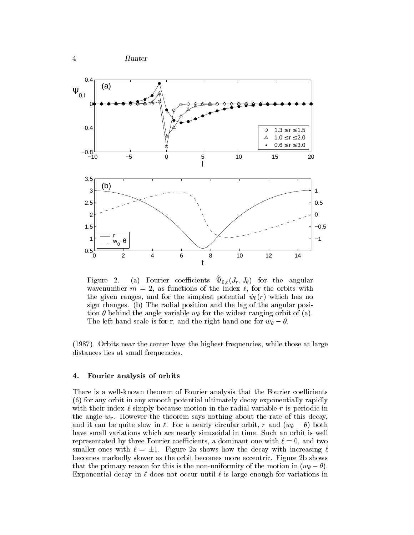

Figure 2. (a) Fourier coemcients  $\mathbf{v}_{0,\ell}(J_r, J_{\theta})$  for the angular wavenumber  $m = 2$ , as functions of the index  $\ell$ , for the orbits with the given ranges, and for the simplest potential  $\psi_0(r)$  which has no sign changes. (b) The radial position and the lag of the angular position  $\theta$  behind the angle variable  $w_{\theta}$  for the widest ranging orbit of (a). The left hand scale is for r, and the right hand one for  $w_{\theta} - \theta$ .

(1987). Orbits near the center have the highest frequencies, while those at large distances lies at small frequencies.

#### 4. Fourier analysis of orbits

There is a well-known theorem of Fourier analysis that the Fourier coefficients (6) for any orbit in any smooth potential ultimately decay exponentially rapidly with their index  $\ell$  simply because motion in the radial variable r is periodic in the angle  $w_r$ . However the theorem says nothing about the rate of this decay, and it can be quite slow in  $\ell$ . For a nearly circular orbit, r and  $(w_{\theta} - \theta)$  both have small variations which are nearly sinusoidal in time. Such an orbit is well representated by three Fourier coefficients, a dominant one with  $\ell = 0$ , and two smaller ones with  $\ell = \pm 1$ . Figure 2a shows how the decay with increasing  $\ell$ becomes markedly slower as the orbit becomes more eccentric. Figure 2b shows that the primary reason for this is the non-uniformity of the motion in  $(w_{\theta} - \theta)$ . Exponential decay in  $\ell$  does not occur until  $\ell$  is large enough for variations in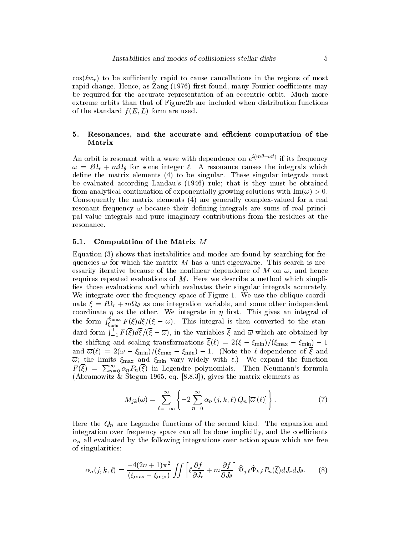$cos(\ell w_r)$  to be sufficiently rapid to cause cancellations in the regions of most rapid change. Hence, as Zang (1976) first found, many Fourier coefficients may be required for the accurate representation of an eccentric orbit. Much more extreme orbits than that of Figure2b are included when distribution functions of the standard  $f(E,L)$  form are used.

## 5. Resonances, and the accurate and efficient computation of the Matrix

An orbit is resonant with a wave with dependence on  $e^{(\cdots - \cdots)}$  if its frequency  $r \rightarrow 0$  for some integrals which integrals which integrals which integrals which integrals which integrals which integrals which integrals which integrals which integrals which integrals which integrals which integrals wh define the matrix elements  $(4)$  to be singular. These singular integrals must be evaluated according Landau's (1946) rule; that is they must be obtained from analytical continuation of exponentially growing solutions with  $\text{Im}(\omega) > 0$ . Consequently the matrix elements (4) are generally complex-valued for a real resonant frequency  $\omega$  because their defining integrals are sums of real principal value integrals and pure imaginary contributions from the residues at the

#### 5.1. Computation of the Matrix <sup>M</sup>

Equation (3) shows that instabilities and modes are found by searching for frequencies  $\omega$  for which the matrix M has a unit eigenvalue. This search is necessarily iterative because of the nonlinear dependence of M on  $\omega$ , and hence requires repeated evaluations of  $M$ . Here we describe a method which simplifies those evaluations and which evaluates their singular integrals accurately. We integrate over the frequency space of Figure 1. We use the oblique coordinate = ` <sup>r</sup> <sup>+</sup> <sup>m</sup> as one integration variable, and some other independent coordinate  $\eta$  as the other. We integrate in  $\eta$  first. This gives an integral of the form  $\int_{\xi_{\min}}^{\xi_{\max}} F(\xi) d\xi/(\xi - \omega)$ . This integral is then converted to the standard form  $\int_{-1}^{1} F(\xi) d\xi/(\xi - \overline{\omega})$ , in the variables  $\xi$  and  $\overline{\omega}$  which are obtained by the shifting and scaling transformations ( $\langle v \rangle = \langle v \rangle = \langle \langle m \rangle$  min)  $\langle v \rangle = \langle m \rangle$ and  $\alpha$  (  $\beta$  )  $\alpha$  )  $\alpha$  )  $\alpha$  )  $\alpha$  )  $\alpha$  )  $\alpha$  )  $\alpha$  )  $\alpha$  )  $\alpha$  )  $\alpha$  )  $\alpha$  )  $\alpha$  )  $\alpha$  )  $\alpha$  )  $\alpha$  )  $\alpha$  )  $\alpha$  )  $\alpha$  )  $\alpha$  )  $\alpha$  )  $\alpha$  )  $\alpha$  )  $\alpha$  )  $\alpha$  )  $\alpha$  )  $\alpha$  )  $\alpha$  )  $\alpha$  )  $\alpha$  )  $\cdots$  ; the limits may and  $\cdots$  variable minimum vary with  $\cdots$  with  $\cdots$  expands the function  $\cdots$  $F(\xi) = \sum_{n=0}^{\infty} \alpha_n P_n(\xi)$  in Legendre polynomials. Then Neumann's formula (Abrahamowitz  $\mathcal{A}$  and  $\mathcal{B}$ . Stephents as  $\mathcal{B}$ .8.3]), gives the matrix elements as  $\mathcal{B}$ 

$$
M_{jk}(\omega) = \sum_{\ell=-\infty}^{\infty} \left\{-2\sum_{n=0}^{\infty} \alpha_n (j,k,\ell) Q_n \left[\overline{\omega}(\ell)\right] \right\}.
$$
 (7)

Here the  $Q_n$  are Legendre functions of the second kind. The expansion and integration over frequency space can all be done implicitly, and the coefficients  $\alpha_n$  all evaluated by the following integrations over action space which are free of singularities:

$$
\alpha_n(j,k,\ell) = \frac{-4(2n+1)\pi^2}{(\xi_{\text{max}} - \xi_{\text{min}})} \iint \left[ \ell \frac{\partial f}{\partial J_r} + m \frac{\partial f}{\partial J_\theta} \right] \widehat{\Psi}_{j,\ell} \widehat{\Psi}_{k,\ell} P_n(\overline{\xi}) dJ_r dJ_\theta. \tag{8}
$$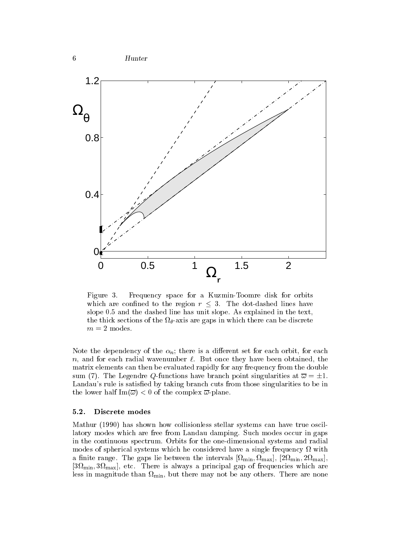

Figure 3. Frequency space for a Kuzmin-Toomre disk for orbits which are confined to the region  $r \leq 3$ . The dot-dashed lines have slope 0.5 and the dashed line has unit slope. As explained in the text,  $\mathbf v$  the thick sections of the there can be discrete can be discrete can be discrete can be discrete can be discrete can be discrete can be discrete can be discrete can be discrete can be discrete can be discrete can be  $m$  = 2 modes.

Note the dependency of the  $\alpha_n$ ; there is a different set for each orbit, for each n, and for each radial wavenumber  $\ell$ . But once they have been obtained, the matrix elements can then be evaluated rapidly for any frequency from the double sum (7). The Legendre Q-functions have branch point singularities at  $\overline{\omega} = \pm 1$ . Landau's rule is satisfied by taking branch cuts from those singularities to be in the lower half  $\text{Im}(\overline{\omega}) < 0$  of the complex  $\overline{\omega}$ -plane.

# 5.2. Discrete modes

Mathur (1990) has shown how collisionless stellar systems can have true oscillatory modes which are free from Landau damping. Such modes occur in gaps in the continuous spectrum. Orbits for the one-dimensional systems and radial modes of spherical systems which he considered have a single frequency of with  $\eta$  $\Omega$  and  $\Omega$  if the contract the intervals for the intervals  $\Omega$  intervals  $\Omega$  intervals  $\Omega$ [3 min; <sup>3</sup>max], etc. There is always <sup>a</sup> principal gap of frequencies which are less in magnitude than  $\mathcal{L}$  in the any others. There are no non-none are non-none are non-non-none are non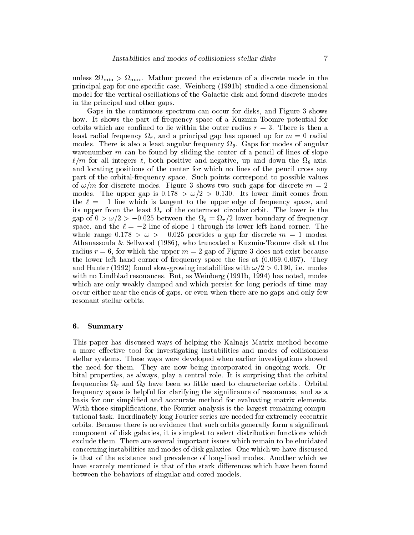minister 2,2,000 proved the existence of a discrete mode in the existence of a discrete mode in the contract of principal gap for one specic case. Weinberg (1991b) studied a one-dimensional model for the vertical oscillations of the Galactic disk and found discrete modes in the principal and other gaps.

Gaps in the continuous spectrum can occur for disks, and Figure 3 shows how. It shows the part of frequency space of a Kuzmin-Toomre potential for orbits which are confined to lie within the outer radius  $r = 3$ . There is then a least radial frequency r, and <sup>a</sup> principal gap has opened up for <sup>m</sup> = 0 radial  $\Omega$  is also a least angular frequency  $\Omega$ wavenumber  $m$  can be found by sliding the center of a pencil of lines of slope  $\overline{u}$  is a for all integers  $\overline{u}$  integers the negative and down the negative and down the  $\overline{u}$ and locating positions of the center for which no lines of the pencil cross any part of the orbital-frequency space. Such points correspond to possible values of  $\omega/m$  for discrete modes. Figure 3 shows two such gaps for discrete  $m = 2$ modes. The upper gap is  $0.178 > \omega/2 > 0.130$ . Its lower limit comes from the  $\ell = -1$  line which is tangent to the upper edge of frequency space, and its upper from the least <sup>r</sup> of the outermost circular orbit. The lower is the gap of 0 > !=2 <sup>&</sup>gt; 0:025 between the <sup>=</sup>r=2 lower boundary of frequency space, and the  $\ell = -2$  line of slope 1 through its lower left hand corner. The whole range  $0.178 > \omega > -0.025$  provides a gap for discrete  $m = 1$  modes. Athanassoula & Sellwood (1986), who truncated a Kuzmin-Toomre disk at the radius  $r = 6$ , for which the upper  $m = 2$  gap of Figure 3 does not exist because the lower left hand corner of frequency space the lies at  $(0.069, 0.067)$ . They and Hunter (1992) found slow-growing instabilities with  $\omega/2 > 0.130$ , i.e. modes with no Lindblad resonances. But, as Weinberg (1991b, 1994) has noted, modes which are only weakly damped and which persist for long periods of time may occur either near the ends of gaps, or even when there are no gaps and only few resonant stellar orbits.

#### 6. Summary

This paper has discussed ways of helping the Kalna is Matrix method become a more effective tool for investigating instabilities and modes of collisionless stellar systems. These ways were developed when earlier investigations showed the need for them. They are now being incorporated in ongoing work. Orbital properties, as always, play a central role. It is surprising that the orbital frequencies <sup>r</sup> and have been so little used to characterize orbits. Orbital frequency space is helpful for clarifying the signicance of resonances, and as a basis for our simplied and acccurate method for evaluating matrix elements. With those simplifications, the Fourier analysis is the largest remaining computational task. Inordinately long Fourier series are needed for extremely eccentric orbits. Because there is no evidence that such orbits generally form a signicant component of disk galaxies, it is simplest to select distribution functions which exclude them. There are several important issues which remain to be elucidated concerning instabilities and modes of disk galaxies. One which we have discussed is that of the existence and prevalence of long-lived modes. Another which we have scarcely mentioned is that of the stark differences which have been found between the behaviors of singular and cored models.